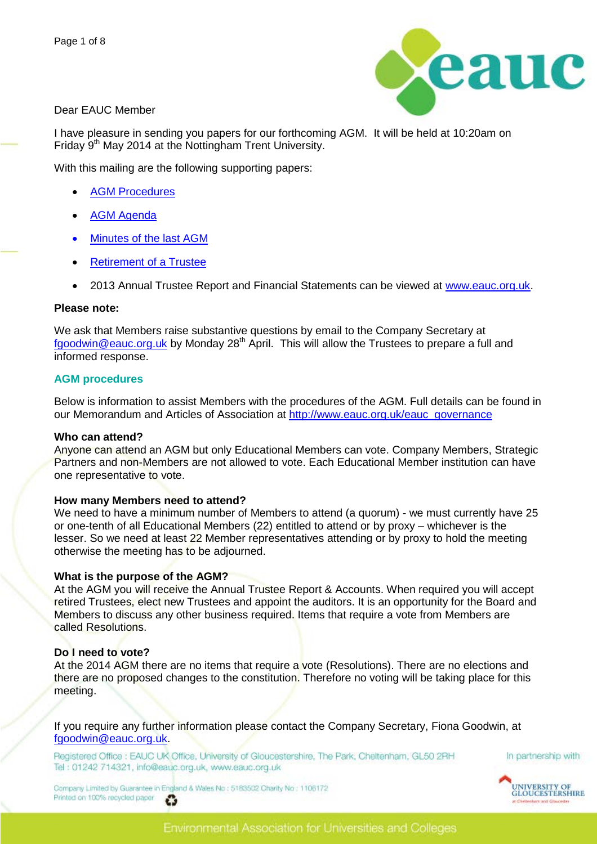

Dear EAUC Member

I have pleasure in sending you papers for our forthcoming AGM. It will be held at 10:20am on Friday 9<sup>th</sup> May 2014 at the Nottingham Trent University.

With this mailing are the following supporting papers:

- **[AGM Procedures](#page-0-0)**
- [AGM Agenda](#page-1-0)
- [Minutes of the last AGM](#page-2-0)
- [Retirement of a Trustee](#page-7-0)
- 2013 Annual Trustee Report and Financial Statements can be viewed at [www.eauc.org.uk.](http://www.eauc.org.uk/)

#### **Please note:**

We ask that Members raise substantive questions by email to the Company Secretary at [fgoodwin@eauc.org.uk](mailto:fgoodwin@eauc.org.uk) by Monday  $28<sup>th</sup>$  April. This will allow the Trustees to prepare a full and informed response.

#### <span id="page-0-0"></span>**AGM procedures**

Below is information to assist Members with the procedures of the AGM. Full details can be found in our Memorandum and Articles of Association at [http://www.eauc.org.uk/eauc\\_governance](http://www.eauc.org.uk/eauc_governance)

#### **Who can attend?**

Anyone can attend an AGM but only Educational Members can vote. Company Members, Strategic Partners and non-Members are not allowed to vote. Each Educational Member institution can have one representative to vote.

#### **How many Members need to attend?**

We need to have a minimum number of Members to attend (a quorum) - we must currently have 25 or one-tenth of all Educational Members (22) entitled to attend or by proxy – whichever is the lesser. So we need at least 22 Member representatives attending or by proxy to hold the meeting otherwise the meeting has to be adjourned.

#### **What is the purpose of the AGM?**

At the AGM you will receive the Annual Trustee Report & Accounts. When required you will accept retired Trustees, elect new Trustees and appoint the auditors. It is an opportunity for the Board and Members to discuss any other business required. Items that require a vote from Members are called Resolutions.

#### **Do I need to vote?**

At the 2014 AGM there are no items that require a vote (Resolutions). There are no elections and there are no proposed changes to the constitution. Therefore no voting will be taking place for this meeting.

If you require any further information please contact the Company Secretary, Fiona Goodwin, at [fgoodwin@eauc.org.uk.](mailto:fgoodwin@eauc.org.uk)

Registered Office : EAUC UK Office, University of Gloucestershire, The Park, Cheltenham, GL50 2RH Tel: 01242 714321, info@eauc.org.uk, www.eauc.org.uk



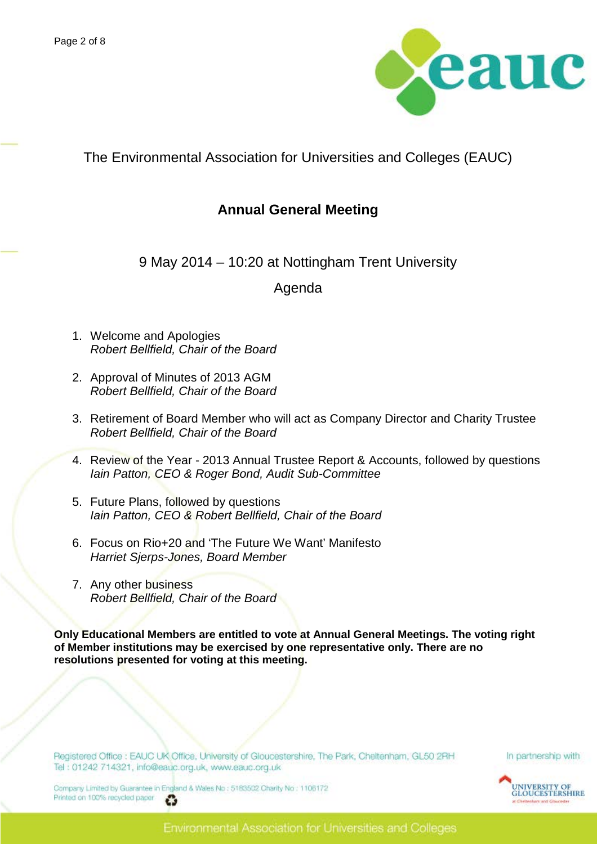

<span id="page-1-0"></span>The Environmental Association for Universities and Colleges (EAUC)

# **Annual General Meeting**

9 May 2014 – 10:20 at Nottingham Trent University

# Agenda

- 1. Welcome and Apologies *Robert Bellfield, Chair of the Board*
- 2. Approval of Minutes of 2013 AGM *Robert Bellfield, Chair of the Board*
- 3. Retirement of Board Member who will act as Company Director and Charity Trustee *Robert Bellfield, Chair of the Board*
- 4. Review of the Year 2013 Annual Trustee Report & Accounts, followed by questions *Iain Patton, CEO & Roger Bond, Audit Sub-Committee*
- 5. Future Plans, followed by questions *Iain Patton, CEO & Robert Bellfield, Chair of the Board*
- 6. Focus on Rio+20 and 'The Future We Want' Manifesto *Harriet Sjerps-Jones, Board Member*
- 7. Any other business *Robert Bellfield, Chair of the Board*

**Only Educational Members are entitled to vote at Annual General Meetings. The voting right of Member institutions may be exercised by one representative only. There are no resolutions presented for voting at this meeting.**

Registered Office : EAUC UK Office, University of Gloucestershire, The Park, Cheltenham, GL50 2RH Tel: 01242 714321, info@eauc.org.uk, www.eauc.org.uk

In partnership with

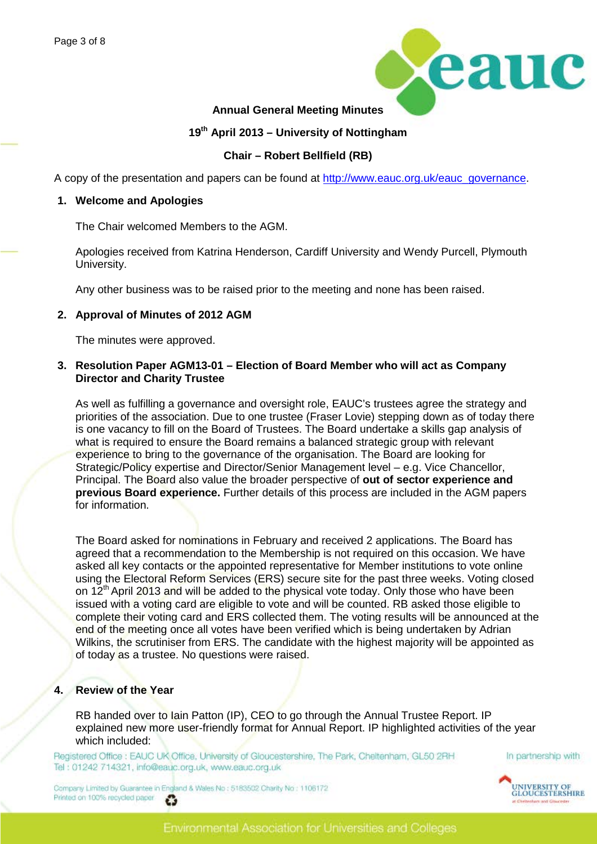

## <span id="page-2-0"></span>**Annual General Meeting Minutes**

# **19th April 2013 – University of Nottingham**

### **Chair – Robert Bellfield (RB)**

A copy of the presentation and papers can be found at [http://www.eauc.org.uk/eauc\\_governance.](http://www.eauc.org.uk/eauc_governance)

#### **1. Welcome and Apologies**

The Chair welcomed Members to the AGM.

Apologies received from Katrina Henderson, Cardiff University and Wendy Purcell, Plymouth University.

Any other business was to be raised prior to the meeting and none has been raised.

#### **2. Approval of Minutes of 2012 AGM**

The minutes were approved.

#### **3. Resolution Paper AGM13-01 – Election of Board Member who will act as Company Director and Charity Trustee**

As well as fulfilling a governance and oversight role, EAUC's trustees agree the strategy and priorities of the association. Due to one trustee (Fraser Lovie) stepping down as of today there is one vacancy to fill on the Board of Trustees. The Board undertake a skills gap analysis of what is required to ensure the Board remains a balanced strategic group with relevant experience to bring to the governance of the organisation. The Board are looking for Strategic/Policy expertise and Director/Senior Management level – e.g. Vice Chancellor, Principal. The Board also value the broader perspective of **out of sector experience and previous Board experience.** Further details of this process are included in the AGM papers for information.

The Board asked for nominations in February and received 2 applications. The Board has agreed that a recommendation to the Membership is not required on this occasion. We have asked all key contacts or the appointed representative for Member institutions to vote online using the Electoral Reform Services (ERS) secure site for the past three weeks. Voting closed on 12<sup>th</sup> April 2013 and will be added to the physical vote today. Only those who have been issued with a voting card are eligible to vote and will be counted. RB asked those eligible to complete their voting card and ERS collected them. The voting results will be announced at the end of the meeting once all votes have been verified which is being undertaken by Adrian Wilkins, the scrutiniser from ERS. The candidate with the highest majority will be appointed as of today as a trustee. No questions were raised.

#### **4. Review of the Year**

RB handed over to lain Patton (IP), CEO to go through the Annual Trustee Report. IP explained new more user-friendly format for Annual Report. IP highlighted activities of the year which included:

Registered Office : EAUC UK Office, University of Gloucestershire, The Park, Cheltenham, GL50 2RH Tel: 01242 714321, info@eauc.org.uk, www.eauc.org.uk



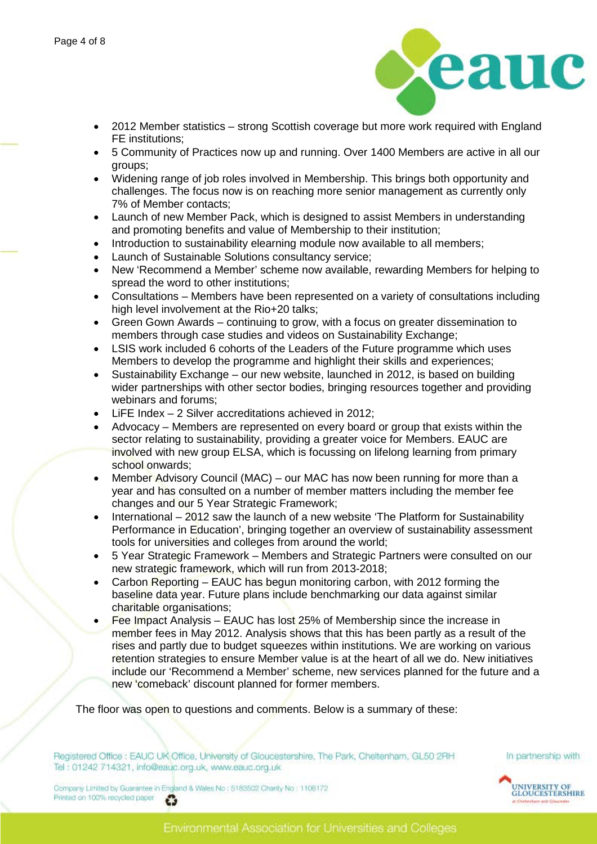

- 2012 Member statistics strong Scottish coverage but more work required with England FE institutions;
- 5 Community of Practices now up and running. Over 1400 Members are active in all our groups;
- Widening range of job roles involved in Membership. This brings both opportunity and challenges. The focus now is on reaching more senior management as currently only 7% of Member contacts;
- Launch of new Member Pack, which is designed to assist Members in understanding and promoting benefits and value of Membership to their institution;
- Introduction to sustainability elearning module now available to all members;
- Launch of Sustainable Solutions consultancy service;
- New 'Recommend a Member' scheme now available, rewarding Members for helping to spread the word to other institutions;
- Consultations Members have been represented on a variety of consultations including high level involvement at the Rio+20 talks;
- Green Gown Awards continuing to grow, with a focus on greater dissemination to members through case studies and videos on Sustainability Exchange;
- LSIS work included 6 cohorts of the Leaders of the Future programme which uses Members to develop the programme and highlight their skills and experiences;
- Sustainability Exchange our new website, launched in 2012, is based on building wider partnerships with other sector bodies, bringing resources together and providing webinars and forums;
- LiFE Index 2 Silver accreditations achieved in 2012;
- Advocacy Members are represented on every board or group that exists within the sector relating to sustainability, providing a greater voice for Members. EAUC are involved with new group ELSA, which is focussing on lifelong learning from primary school onwards;
- Member Advisory Council (MAC) our MAC has now been running for more than a year and has consulted on a number of member matters including the member fee changes and our 5 Year Strategic Framework;
- International 2012 saw the launch of a new website 'The Platform for Sustainability Performance in Education', bringing together an overview of sustainability assessment tools for universities and colleges from around the world;
- 5 Year Strategic Framework Members and Strategic Partners were consulted on our new strategic framework, which will run from 2013-2018;
- Carbon Reporting EAUC has begun monitoring carbon, with 2012 forming the baseline data year. Future plans include benchmarking our data against similar charitable organisations;
- Fee Impact Analysis EAUC has lost 25% of Membership since the increase in member fees in May 2012. Analysis shows that this has been partly as a result of the rises and partly due to budget squeezes within institutions. We are working on various retention strategies to ensure Member value is at the heart of all we do. New initiatives include our 'Recommend a Member' scheme, new services planned for the future and a new 'comeback' discount planned for former members.

The floor was open to questions and comments. Below is a summary of these:

Registered Office : EAUC UK Office, University of Gloucestershire, The Park, Cheltenham, GL50 2RH Tel: 01242 714321, info@eauc.org.uk, www.eauc.org.uk

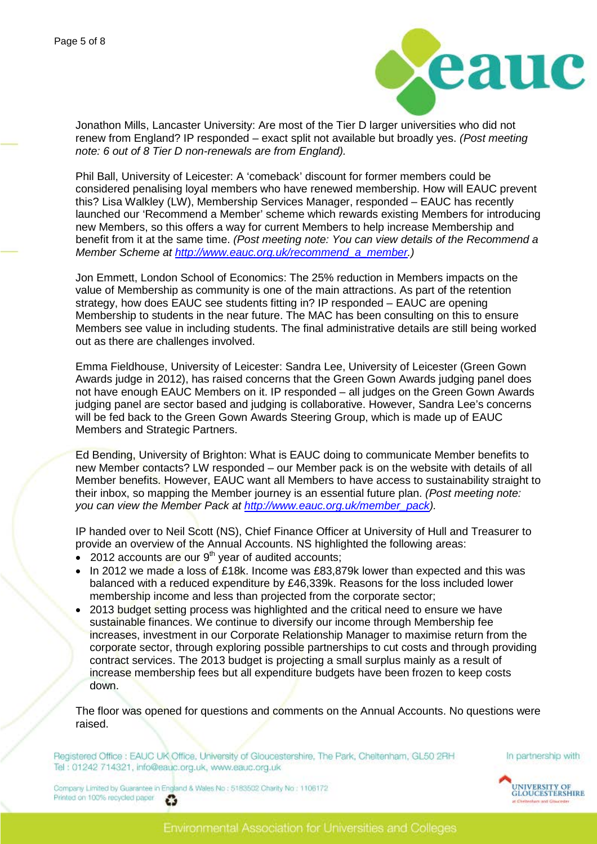

Jonathon Mills, Lancaster University: Are most of the Tier D larger universities who did not renew from England? IP responded – exact split not available but broadly yes. *(Post meeting note: 6 out of 8 Tier D non-renewals are from England).*

Phil Ball, University of Leicester: A 'comeback' discount for former members could be considered penalising loyal members who have renewed membership. How will EAUC prevent this? Lisa Walkley (LW), Membership Services Manager, responded – EAUC has recently launched our 'Recommend a Member' scheme which rewards existing Members for introducing new Members, so this offers a way for current Members to help increase Membership and benefit from it at the same time. *(Post meeting note: You can view details of the Recommend a Member Scheme at [http://www.eauc.org.uk/recommend\\_a\\_member.](http://www.eauc.org.uk/recommend_a_member))*

Jon Emmett, London School of Economics: The 25% reduction in Members impacts on the value of Membership as community is one of the main attractions. As part of the retention strategy, how does EAUC see students fitting in? IP responded – EAUC are opening Membership to students in the near future. The MAC has been consulting on this to ensure Members see value in including students. The final administrative details are still being worked out as there are challenges involved.

Emma Fieldhouse, University of Leicester: Sandra Lee, University of Leicester (Green Gown Awards judge in 2012), has raised concerns that the Green Gown Awards judging panel does not have enough EAUC Members on it. IP responded – all judges on the Green Gown Awards judging panel are sector based and judging is collaborative. However, Sandra Lee's concerns will be fed back to the Green Gown Awards Steering Group, which is made up of EAUC Members and Strategic Partners.

Ed Bending, University of Brighton: What is EAUC doing to communicate Member benefits to new Member contacts? LW responded – our Member pack is on the website with details of all Member benefits. However, EAUC want all Members to have access to sustainability straight to their inbox, so mapping the Member journey is an essential future plan. *(Post meeting note: you can view the Member Pack at [http://www.eauc.org.uk/member\\_pack\)](http://www.eauc.org.uk/member_pack).* 

IP handed over to Neil Scott (NS), Chief Finance Officer at University of Hull and Treasurer to provide an overview of the Annual Accounts. NS highlighted the following areas:

- $\bullet$  2012 accounts are our 9<sup>th</sup> year of audited accounts;
- In 2012 we made a loss of £18k. Income was £83,879k lower than expected and this was balanced with a reduced expenditure by £46,339k. Reasons for the loss included lower membership income and less than projected from the corporate sector;
- 2013 budget setting process was highlighted and the critical need to ensure we have sustainable finances. We continue to diversify our income through Membership fee increases, investment in our Corporate Relationship Manager to maximise return from the corporate sector, through exploring possible partnerships to cut costs and through providing contract services. The 2013 budget is projecting a small surplus mainly as a result of increase membership fees but all expenditure budgets have been frozen to keep costs down.

The floor was opened for questions and comments on the Annual Accounts. No questions were raised.

Registered Office : EAUC UK Office, University of Gloucestershire, The Park, Cheltenham, GL50 2RH Tel: 01242 714321, info@eauc.org.uk, www.eauc.org.uk



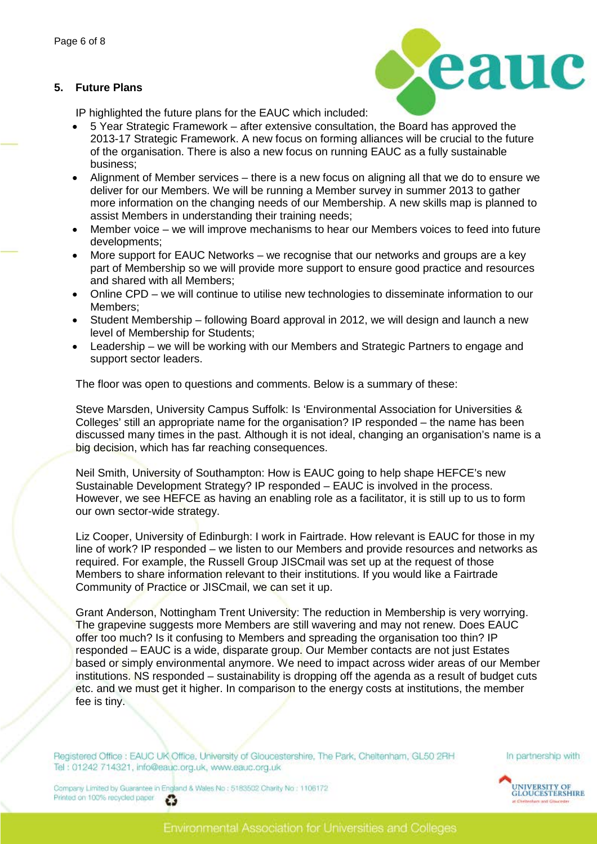# **5. Future Plans**



IP highlighted the future plans for the EAUC which included:

- 5 Year Strategic Framework after extensive consultation, the Board has approved the 2013-17 Strategic Framework. A new focus on forming alliances will be crucial to the future of the organisation. There is also a new focus on running EAUC as a fully sustainable business;
- Alignment of Member services there is a new focus on aligning all that we do to ensure we deliver for our Members. We will be running a Member survey in summer 2013 to gather more information on the changing needs of our Membership. A new skills map is planned to assist Members in understanding their training needs;
- Member voice we will improve mechanisms to hear our Members voices to feed into future developments;
- More support for EAUC Networks we recognise that our networks and groups are a key part of Membership so we will provide more support to ensure good practice and resources and shared with all Members;
- Online CPD we will continue to utilise new technologies to disseminate information to our Members;
- Student Membership following Board approval in 2012, we will design and launch a new level of Membership for Students;
- Leadership we will be working with our Members and Strategic Partners to engage and support sector leaders.

The floor was open to questions and comments. Below is a summary of these:

Steve Marsden, University Campus Suffolk: Is 'Environmental Association for Universities & Colleges' still an appropriate name for the organisation? IP responded – the name has been discussed many times in the past. Although it is not ideal, changing an organisation's name is a big decision, which has far reaching consequences.

Neil Smith, University of Southampton: How is EAUC going to help shape HEFCE's new Sustainable Development Strategy? IP responded – EAUC is involved in the process. However, we see HEFCE as having an enabling role as a facilitator, it is still up to us to form our own sector-wide strategy.

Liz Cooper, University of Edinburgh: I work in Fairtrade. How relevant is EAUC for those in my line of work? IP responded – we listen to our Members and provide resources and networks as required. For example, the Russell Group JISCmail was set up at the request of those Members to share information relevant to their institutions. If you would like a Fairtrade Community of Practice or JISCmail, we can set it up.

Grant Anderson, Nottingham Trent University: The reduction in Membership is very worrying. The grapevine suggests more Members are still wavering and may not renew. Does EAUC offer too much? Is it confusing to Members and spreading the organisation too thin? IP responded – EAUC is a wide, disparate group. Our Member contacts are not just Estates based or simply environmental anymore. We need to impact across wider areas of our Member institutions. NS responded – sustainability is dropping off the agenda as a result of budget cuts etc. and we must get it higher. In comparison to the energy costs at institutions, the member fee is tiny.

Registered Office : EAUC UK Office, University of Gloucestershire, The Park, Cheltenham, GL50 2RH Tel: 01242 714321, info@eauc.org.uk, www.eauc.org.uk

In partnership with

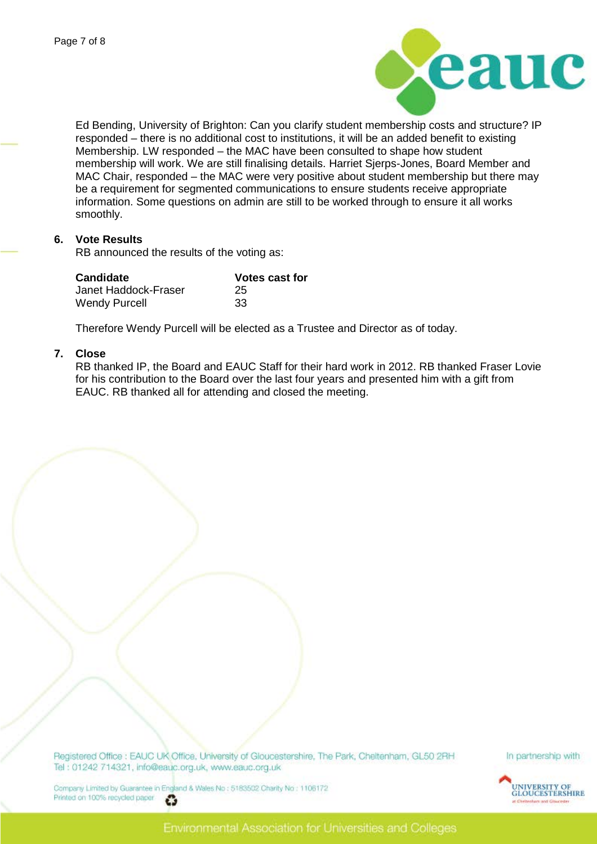

Ed Bending, University of Brighton: Can you clarify student membership costs and structure? IP responded – there is no additional cost to institutions, it will be an added benefit to existing Membership. LW responded – the MAC have been consulted to shape how student membership will work. We are still finalising details. Harriet Sjerps-Jones, Board Member and MAC Chair, responded – the MAC were very positive about student membership but there may be a requirement for segmented communications to ensure students receive appropriate information. Some questions on admin are still to be worked through to ensure it all works smoothly.

#### **6. Vote Results**

RB announced the results of the voting as:

| <b>Candidate</b>     | Votes cast for |
|----------------------|----------------|
| Janet Haddock-Fraser | 25             |
| <b>Wendy Purcell</b> | -33            |

Therefore Wendy Purcell will be elected as a Trustee and Director as of today.

#### **7. Close**

RB thanked IP, the Board and EAUC Staff for their hard work in 2012. RB thanked Fraser Lovie for his contribution to the Board over the last four years and presented him with a gift from EAUC. RB thanked all for attending and closed the meeting.

Registered Office : EAUC UK Office, University of Gloucestershire, The Park, Cheltenham, GL50 2RH Tel: 01242 714321, info@eauc.org.uk, www.eauc.org.uk

In partnership with